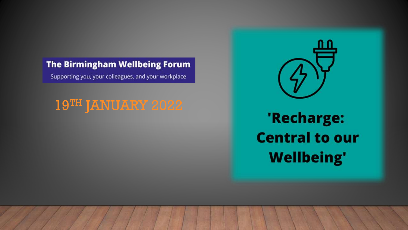#### **The Birmingham Wellbeing Forum**

Supporting you, your colleagues, and your workplace

# 19TH JANUARY 2022

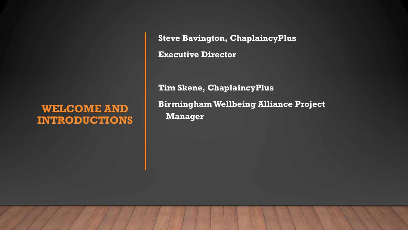#### **WELCOME AND INTRODUCTIONS**

**Steve Bavington, ChaplaincyPlus**

**Executive Director**

**Tim Skene, ChaplaincyPlus Birmingham Wellbeing Alliance Project Manager**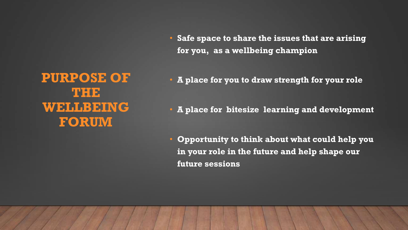**PURPOSE OF THE WELLBEING FORUM** 

- **Safe space to share the issues that are arising for you, as a wellbeing champion**
- **A place for you to draw strength for your role**
- **A place for bitesize learning and development**
- **Opportunity to think about what could help you in your role in the future and help shape our future sessions**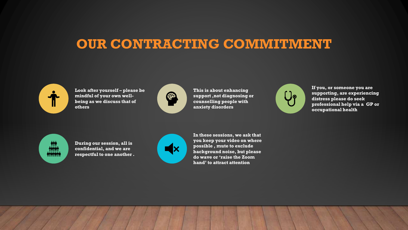### **OUR CONTRACTING COMMITMENT**



**Look after yourself – please be mindful of your own wellbeing as we discuss that of others**



**This is about enhancing support ,not diagnosing or counselling people with anxiety disorders** 



**If you, or someone you are supporting, are experiencing distress please do seek professional help via a GP or occupational health**



**During our session, all is confidential, and we are respectful to one another .**



**In these sessions, we ask that you keep your video on where possible , mute to exclude background noise, but please do wave or 'raise the Zoom hand' to attract attention**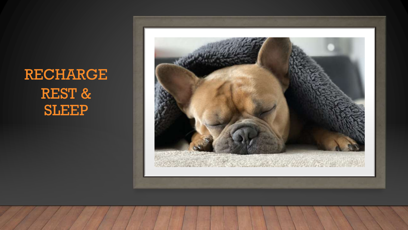# RECHARGE REST & SLEEP

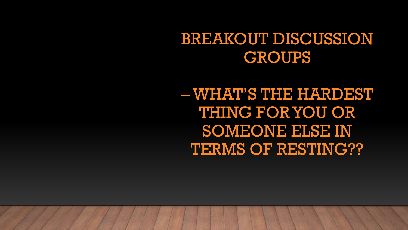# BREAKOUT DISCUSSION **GROUPS**

– WHAT'S THE HARDEST THING FOR YOU OR SOMEONE ELSE IN TERMS OF RESTING??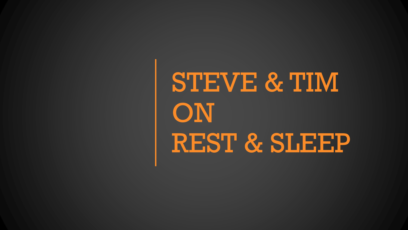STEVE & TIM **ON** REST & SLEEP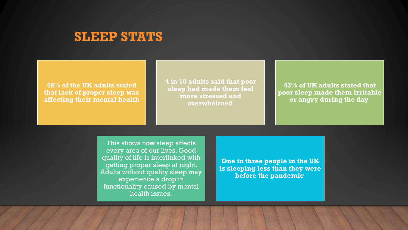#### **SLEEP STATS**

**48% of the UK adults stated that lack of proper sleep was affecting their mental health** **4 in 10 adults said that poor sleep had made them feel more stressed and overwhelmed**

**43% of UK adults stated that poor sleep made them irritable or angry during the day**

This shows how sleep affects every area of our lives. Good quality of life is interlinked with getting proper sleep at night. Adults without quality sleep may experience a drop in functionality caused by mental health issues.

**One in three people in the UK is sleeping less than they were before the pandemic**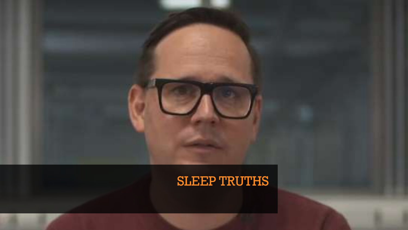### SLEEP TRUTHS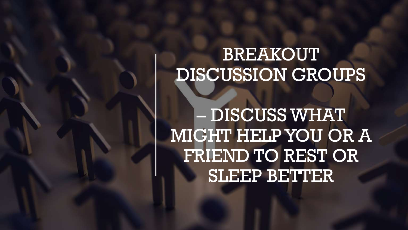# BREAKOUT DISCUSSION GROUPS

– DISCUSS WHAT MIGHT HELP YOU OR A FRIEND TO REST OR SLEEP BETTER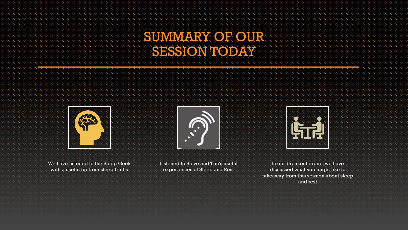### SUMMARY OF OUR SESSIONITODAY



We have listened to the Sleep Geek with a useful tip from sleep truths



Listened to Steve and Tim's useful experiences of Sleep and Rest



In our breakout group, we have discussed what you might like to takeaway from this session about sleep and rest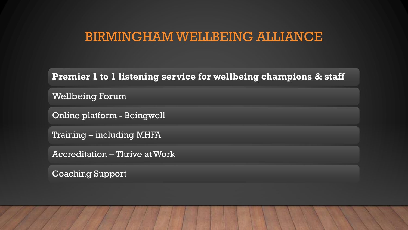### BIRMINGHAM WELLBEING ALLIANCE

**Premier 1 to 1 listening service for wellbeing champions & staff**

Wellbeing Forum

Online platform - Beingwell

Training – including MHFA

Accreditation – Thrive at Work

Coaching Support